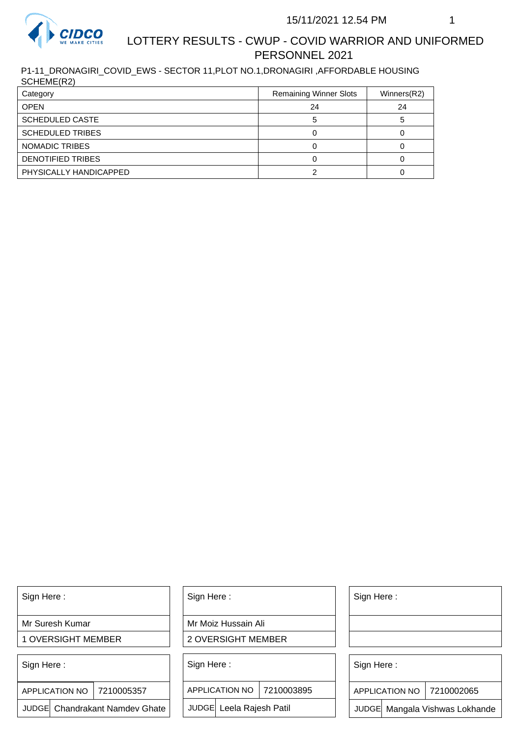

## LOTTERY RESULTS - CWUP - COVID WARRIOR AND UNIFORMED PERSONNEL 2021

P1-11\_DRONAGIRI\_COVID\_EWS - SECTOR 11,PLOT NO.1,DRONAGIRI ,AFFORDABLE HOUSING SCHEME(R2)

| Category                | <b>Remaining Winner Slots</b> | Winners(R2) |
|-------------------------|-------------------------------|-------------|
| <b>OPEN</b>             | 24                            | 24          |
| <b>SCHEDULED CASTE</b>  |                               |             |
| <b>SCHEDULED TRIBES</b> |                               |             |
| NOMADIC TRIBES          |                               |             |
| DENOTIFIED TRIBES       |                               |             |
| PHYSICALLY HANDICAPPED  |                               |             |

Sign Here :

Mr Suresh Kumar

1 OVERSIGHT MEMBER

Sign Here :

7210005357 APPLICATION NO

JUDGE Chandrakant Namdev Ghate

Sign Here :

Mr Moiz Hussain Ali

2 OVERSIGHT MEMBER

Sign Here :

APPLICATION NO 7210003895

JUDGE Leela Rajesh Patil

Sign Here :

Sign Here :

APPLICATION NO | 7210002065

Chandrakant Namdev Ghate  $|\quad|$  JUDGE Leela Rajesh Patil  $|\quad|$  JUDGE Mangala Vishwas Lokhande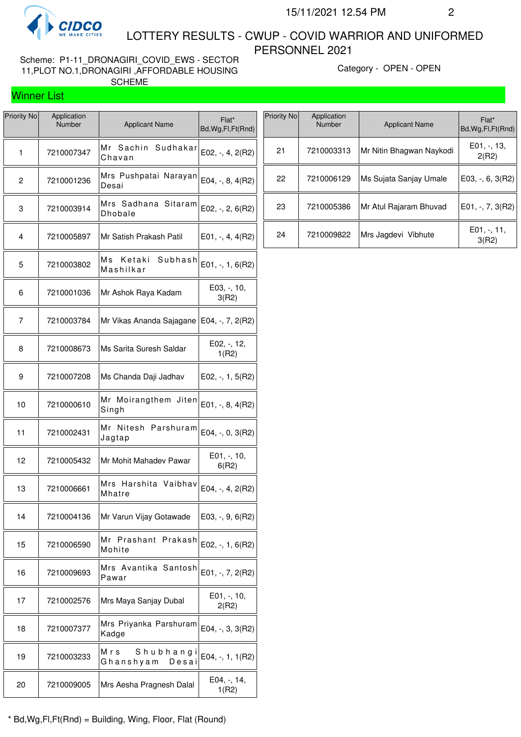

Winner List

 LOTTERY RESULTS - CWUP - COVID WARRIOR AND UNIFORMED PERSONNEL 2021

Scheme: P1-11\_DRONAGIRI\_COVID\_EWS - SECTOR 11,PLOT NO.1,DRONAGIRI ,AFFORDABLE HOUSING SCHEME

Category - OPEN - OPEN

| <b>Priority No</b> | Application<br>Number | <b>Applicant Name</b>                 | Flat*<br>Bd, Wg, Fl, Ft (Rnd) |
|--------------------|-----------------------|---------------------------------------|-------------------------------|
| 1                  | 7210007347            | Mr<br>Sachin<br>Sudhakar<br>Chavan    | $E02, -, 4, 2(R2)$            |
| 2                  | 7210001236            | Mrs Pushpatai Narayan<br>Desai        | E04, $-$ , 8, 4(R2)           |
| 3                  | 7210003914            | Mrs Sadhana Sitaram<br><b>Dhobale</b> | $E02, -7, 2, 6(R2)$           |
| 4                  | 7210005897            | Mr Satish Prakash Patil               | $E01, -, 4, 4(R2)$            |
| 5                  | 7210003802            | Мs<br>Ketaki<br>Subhash<br>Mashilkar  | $E01, -1, 6(R2)$              |
| 6                  | 7210001036            | Mr Ashok Raya Kadam                   | $E03, -110,$<br>3(R2)         |
| 7                  | 7210003784            | Mr Vikas Ananda Sajagane              | E04, $-$ , $7$ , $2(R2)$      |
| 8                  | 7210008673            | Ms Sarita Suresh Saldar               | $E02, -12,$<br>1(R2)          |
| 9                  | 7210007208            | Ms Chanda Daji Jadhav                 | $E02, -1, 5(R2)$              |
| 10                 | 7210000610            | Mr Moirangthem Jiten<br>Singh         | $E01, -, 8, 4(R2)$            |
| 11                 | 7210002431            | Mr Nitesh Parshuram<br>Jagtap         | E04, -, 0, 3(R2)              |
| 12                 | 7210005432            | Mr Mohit Mahadev Pawar                | E01, -, 10,<br>6(R2)          |
| 13                 | 7210006661            | Mrs Harshita Vaibhav<br>Mhatre        | E04, $-$ , 4, 2(R2)           |
| 14                 | 7210004136            | Mr Varun Vijay Gotawade               | $E03, -, 9, 6(R2)$            |
| 15                 | 7210006590            | Mr Prashant Prakash<br>Mohite         | $E02, -1, 6(R2)$              |
| 16                 | 7210009693            | Mrs Avantika Santosh<br>Pawar         | $E01, -7, 2(R2)$              |
| 17                 | 7210002576            | Mrs Maya Sanjay Dubal                 | E01, -, 10,<br>2(R2)          |
| 18                 | 7210007377            | Mrs Priyanka Parshuram<br>Kadge       | $E04, -3, 3(R2)$              |
| 19                 | 7210003233            | Mrs<br>Shubhang<br>Ghanshyam<br>Desai | E04, -, 1, 1(R2)              |
| 20                 | 7210009005            | Mrs Aesha Pragnesh Dalal              | E04, -, 14,<br>1(R2)          |

\* Bd,Wg,Fl,Ft(Rnd) = Building, Wing, Floor, Flat (Round)

| Priority No | Application<br>Number | <b>Applicant Name</b>    | Flat*<br>Bd, Wg, Fl, Ft (Rnd) |
|-------------|-----------------------|--------------------------|-------------------------------|
| 21          | 7210003313            | Mr Nitin Bhagwan Naykodi | $E01, -13,$<br>2(R2)          |
| 22          | 7210006129            | Ms Sujata Sanjay Umale   | $E03, -, 6, 3(R2)$            |
| 23          | 7210005386            | Mr Atul Rajaram Bhuvad   | $E01, -7, 3(R2)$              |
| 24          | 7210009822            | Mrs Jagdevi Vibhute      | $E01, -11,$<br>3(R2)          |